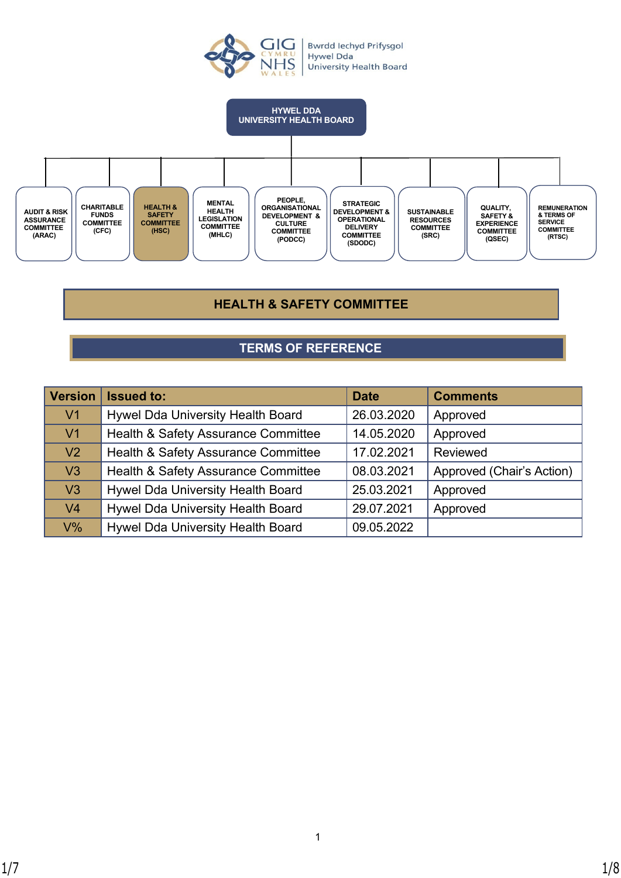



# **HEALTH & SAFETY COMMITTEE**

# **TERMS OF REFERENCE**

| <b>Version</b> | <b>Issued to:</b>                   | <b>Date</b> | <b>Comments</b>           |
|----------------|-------------------------------------|-------------|---------------------------|
| V <sub>1</sub> | Hywel Dda University Health Board   | 26.03.2020  | Approved                  |
| V <sub>1</sub> | Health & Safety Assurance Committee | 14.05.2020  | Approved                  |
| V <sub>2</sub> | Health & Safety Assurance Committee | 17.02.2021  | Reviewed                  |
| V <sub>3</sub> | Health & Safety Assurance Committee | 08.03.2021  | Approved (Chair's Action) |
| V <sub>3</sub> | Hywel Dda University Health Board   | 25.03.2021  | Approved                  |
| V <sub>4</sub> | Hywel Dda University Health Board   | 29.07.2021  | Approved                  |
| $V\%$          | Hywel Dda University Health Board   | 09.05.2022  |                           |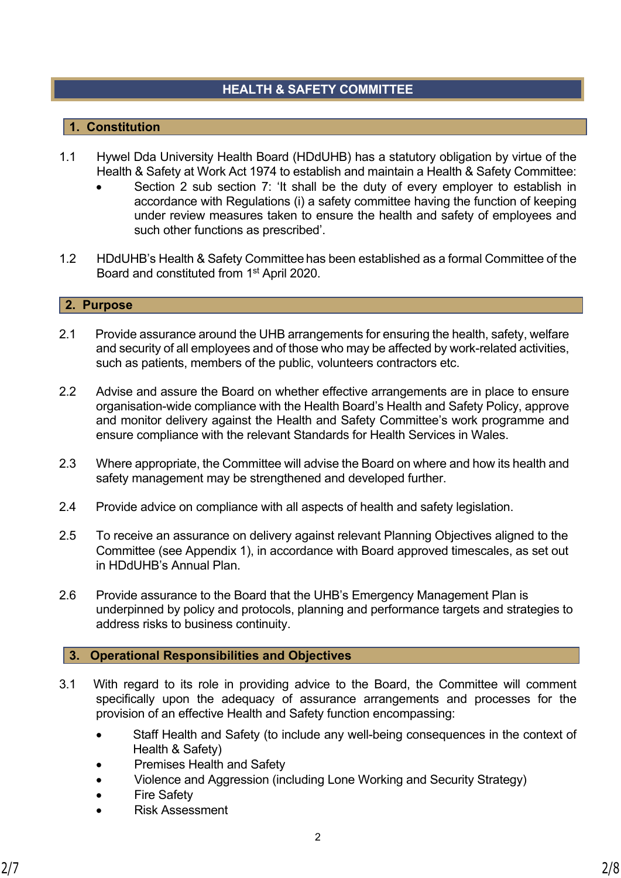# **HEALTH & SAFETY COMMITTEE**

# **1. Constitution**

- 1.1 Hywel Dda University Health Board (HDdUHB) has a statutory obligation by virtue of the Health & Safety at Work Act 1974 to establish and maintain a Health & Safety Committee:
	- Section 2 sub section 7: 'It shall be the duty of every employer to establish in accordance with Regulations (i) a safety committee having the function of keeping under review measures taken to ensure the health and safety of employees and such other functions as prescribed'.
- 1.2 HDdUHB's Health & Safety Committee has been established as a formal Committee of the Board and constituted from 1st April 2020.

### **2. Purpose**

- 2.1 Provide assurance around the UHB arrangements for ensuring the health, safety, welfare and security of all employees and of those who may be affected by work-related activities, such as patients, members of the public, volunteers contractors etc.
- 2.2 Advise and assure the Board on whether effective arrangements are in place to ensure organisation-wide compliance with the Health Board's Health and Safety Policy, approve and monitor delivery against the Health and Safety Committee's work programme and ensure compliance with the relevant Standards for Health Services in Wales.
- 2.3 Where appropriate, the Committee will advise the Board on where and how its health and safety management may be strengthened and developed further.
- 2.4 Provide advice on compliance with all aspects of health and safety legislation.
- 2.5 To receive an assurance on delivery against relevant Planning Objectives aligned to the Committee (see Appendix 1), in accordance with Board approved timescales, as set out in HDdUHB's Annual Plan.
- 2.6 Provide assurance to the Board that the UHB's Emergency Management Plan is underpinned by policy and protocols, planning and performance targets and strategies to address risks to business continuity.

## **3. Operational Responsibilities and Objectives**

- 3.1 With regard to its role in providing advice to the Board, the Committee will comment specifically upon the adequacy of assurance arrangements and processes for the provision of an effective Health and Safety function encompassing:
	- Staff Health and Safety (to include any well-being consequences in the context of Health & Safety)
	- Premises Health and Safety
	- Violence and Aggression (including Lone Working and Security Strategy)
	- **Fire Safety**
	- Risk Assessment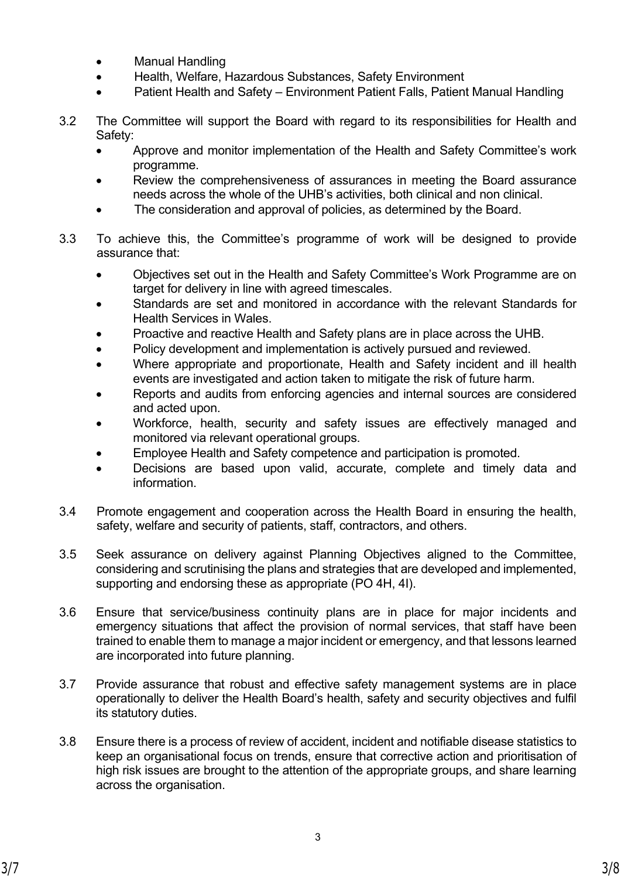- **Manual Handling**
- Health, Welfare, Hazardous Substances, Safety Environment
- Patient Health and Safety Environment Patient Falls, Patient Manual Handling
- 3.2 The Committee will support the Board with regard to its responsibilities for Health and Safety:
	- Approve and monitor implementation of the Health and Safety Committee's work programme.
	- Review the comprehensiveness of assurances in meeting the Board assurance needs across the whole of the UHB's activities, both clinical and non clinical.
	- The consideration and approval of policies, as determined by the Board.
- 3.3 To achieve this, the Committee's programme of work will be designed to provide assurance that:
	- Objectives set out in the Health and Safety Committee's Work Programme are on target for delivery in line with agreed timescales.
	- Standards are set and monitored in accordance with the relevant Standards for Health Services in Wales.
	- Proactive and reactive Health and Safety plans are in place across the UHB.
	- Policy development and implementation is actively pursued and reviewed.
	- Where appropriate and proportionate, Health and Safety incident and ill health events are investigated and action taken to mitigate the risk of future harm.
	- Reports and audits from enforcing agencies and internal sources are considered and acted upon.
	- Workforce, health, security and safety issues are effectively managed and monitored via relevant operational groups.
	- Employee Health and Safety competence and participation is promoted.
	- Decisions are based upon valid, accurate, complete and timely data and information.
- 3.4 Promote engagement and cooperation across the Health Board in ensuring the health, safety, welfare and security of patients, staff, contractors, and others.
- 3.5 Seek assurance on delivery against Planning Objectives aligned to the Committee, considering and scrutinising the plans and strategies that are developed and implemented, supporting and endorsing these as appropriate (PO 4H, 4I).
- 3.6 Ensure that service/business continuity plans are in place for major incidents and emergency situations that affect the provision of normal services, that staff have been trained to enable them to manage a major incident or emergency, and that lessons learned are incorporated into future planning.
- 3.7 Provide assurance that robust and effective safety management systems are in place operationally to deliver the Health Board's health, safety and security objectives and fulfil its statutory duties.
- 3.8 Ensure there is a process of review of accident, incident and notifiable disease statistics to keep an organisational focus on trends, ensure that corrective action and prioritisation of high risk issues are brought to the attention of the appropriate groups, and share learning across the organisation.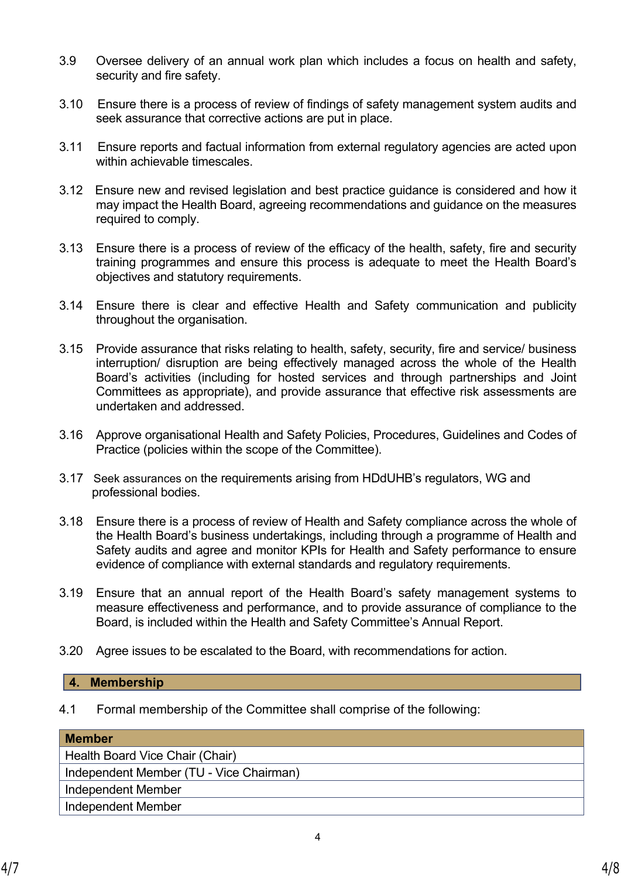- 3.9 Oversee delivery of an annual work plan which includes a focus on health and safety, security and fire safety.
- 3.10 Ensure there is a process of review of findings of safety management system audits and seek assurance that corrective actions are put in place.
- 3.11 Ensure reports and factual information from external regulatory agencies are acted upon within achievable timescales.
- 3.12 Ensure new and revised legislation and best practice guidance is considered and how it may impact the Health Board, agreeing recommendations and guidance on the measures required to comply.
- 3.13 Ensure there is a process of review of the efficacy of the health, safety, fire and security training programmes and ensure this process is adequate to meet the Health Board's objectives and statutory requirements.
- 3.14 Ensure there is clear and effective Health and Safety communication and publicity throughout the organisation.
- 3.15 Provide assurance that risks relating to health, safety, security, fire and service/ business interruption/ disruption are being effectively managed across the whole of the Health Board's activities (including for hosted services and through partnerships and Joint Committees as appropriate), and provide assurance that effective risk assessments are undertaken and addressed.
- 3.16 Approve organisational Health and Safety Policies, Procedures, Guidelines and Codes of Practice (policies within the scope of the Committee).
- 3.17 Seek assurances on the requirements arising from HDdUHB's regulators, WG and professional bodies.
- 3.18 Ensure there is a process of review of Health and Safety compliance across the whole of the Health Board's business undertakings, including through a programme of Health and Safety audits and agree and monitor KPIs for Health and Safety performance to ensure evidence of compliance with external standards and regulatory requirements.
- 3.19 Ensure that an annual report of the Health Board's safety management systems to measure effectiveness and performance, and to provide assurance of compliance to the Board, is included within the Health and Safety Committee's Annual Report.
- 3.20 Agree issues to be escalated to the Board, with recommendations for action.

#### **4. Membership**

4.1 Formal membership of the Committee shall comprise of the following:

#### **Member**

Health Board Vice Chair (Chair) Independent Member (TU - Vice Chairman) Independent Member Independent Member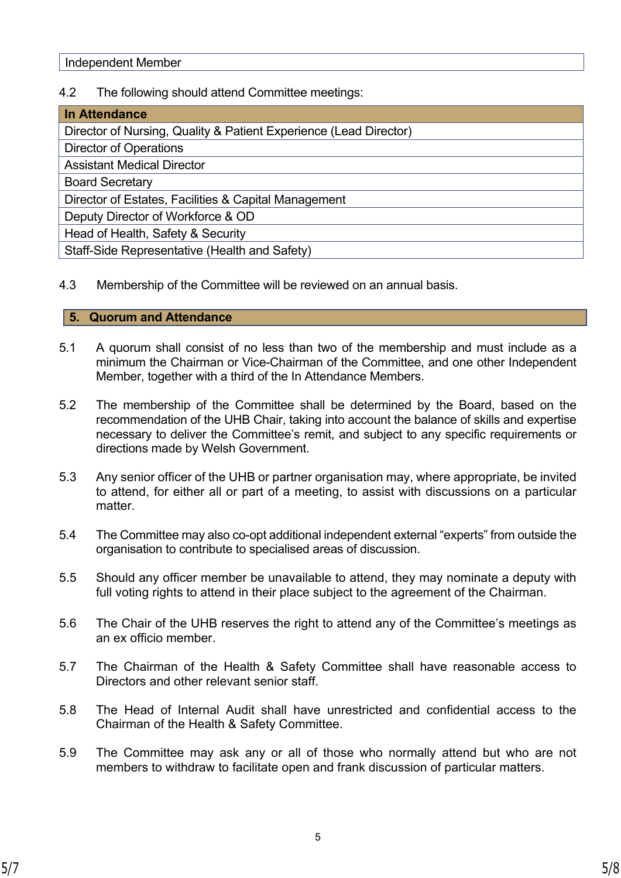# 4.2 The following should attend Committee meetings:

| <b>In Attendance</b>                                              |
|-------------------------------------------------------------------|
| Director of Nursing, Quality & Patient Experience (Lead Director) |
| <b>Director of Operations</b>                                     |
| <b>Assistant Medical Director</b>                                 |
| <b>Board Secretary</b>                                            |
| Director of Estates, Facilities & Capital Management              |
| Deputy Director of Workforce & OD                                 |
| Head of Health, Safety & Security                                 |
| Staff-Side Representative (Health and Safety)                     |

4.3 Membership of the Committee will be reviewed on an annual basis.

## **5. Quorum and Attendance**

- 5.1 A quorum shall consist of no less than two of the membership and must include as a minimum the Chairman or Vice-Chairman of the Committee, and one other Independent Member, together with a third of the In Attendance Members.
- 5.2 The membership of the Committee shall be determined by the Board, based on the recommendation of the UHB Chair, taking into account the balance of skills and expertise necessary to deliver the Committee's remit, and subject to any specific requirements or directions made by Welsh Government.
- 5.3 Any senior officer of the UHB or partner organisation may, where appropriate, be invited to attend, for either all or part of a meeting, to assist with discussions on a particular matter.
- 5.4 The Committee may also co-opt additional independent external "experts" from outside the organisation to contribute to specialised areas of discussion.
- 5.5 Should any officer member be unavailable to attend, they may nominate a deputy with full voting rights to attend in their place subject to the agreement of the Chairman.
- 5.6 The Chair of the UHB reserves the right to attend any of the Committee's meetings as an ex officio member.
- 5.7 The Chairman of the Health & Safety Committee shall have reasonable access to Directors and other relevant senior staff.
- 5.8 The Head of Internal Audit shall have unrestricted and confidential access to the Chairman of the Health & Safety Committee.
- 5.9 The Committee may ask any or all of those who normally attend but who are not members to withdraw to facilitate open and frank discussion of particular matters.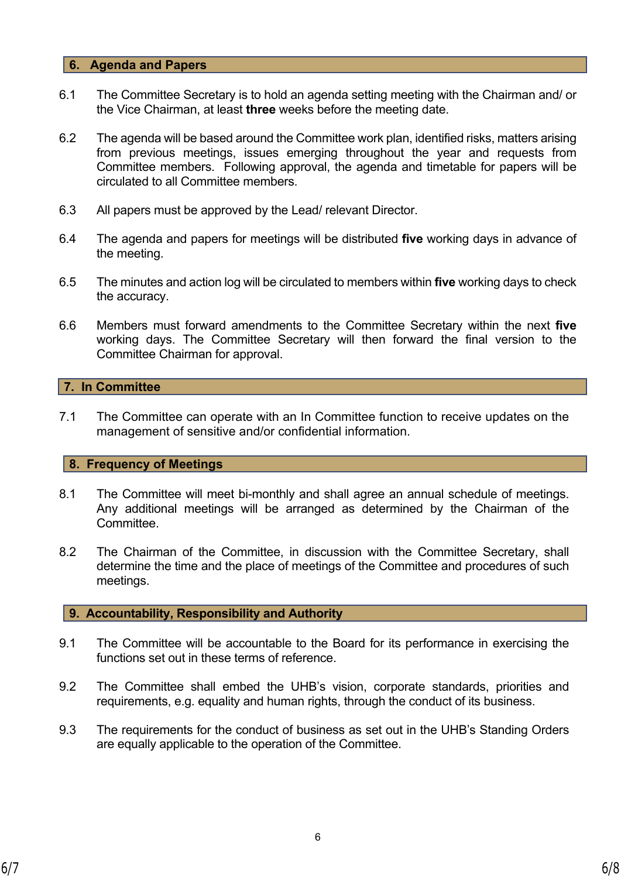### **6. Agenda and Papers**

- 6.1 The Committee Secretary is to hold an agenda setting meeting with the Chairman and/ or the Vice Chairman, at least **three** weeks before the meeting date.
- 6.2 The agenda will be based around the Committee work plan, identified risks, matters arising from previous meetings, issues emerging throughout the year and requests from Committee members. Following approval, the agenda and timetable for papers will be circulated to all Committee members.
- 6.3 All papers must be approved by the Lead/ relevant Director.
- 6.4 The agenda and papers for meetings will be distributed **five** working days in advance of the meeting.
- 6.5 The minutes and action log will be circulated to members within **five** working days to check the accuracy.
- 6.6 Members must forward amendments to the Committee Secretary within the next **five** working days. The Committee Secretary will then forward the final version to the Committee Chairman for approval.

## **7. In Committee**

7.1 The Committee can operate with an In Committee function to receive updates on the management of sensitive and/or confidential information.

#### **8. Frequency of Meetings**

- 8.1 The Committee will meet bi-monthly and shall agree an annual schedule of meetings. Any additional meetings will be arranged as determined by the Chairman of the Committee.
- 8.2 The Chairman of the Committee, in discussion with the Committee Secretary, shall determine the time and the place of meetings of the Committee and procedures of such meetings.

#### **9. Accountability, Responsibility and Authority**

- 9.1 The Committee will be accountable to the Board for its performance in exercising the functions set out in these terms of reference.
- 9.2 The Committee shall embed the UHB's vision, corporate standards, priorities and requirements, e.g. equality and human rights, through the conduct of its business.
- 9.3 The requirements for the conduct of business as set out in the UHB's Standing Orders are equally applicable to the operation of the Committee.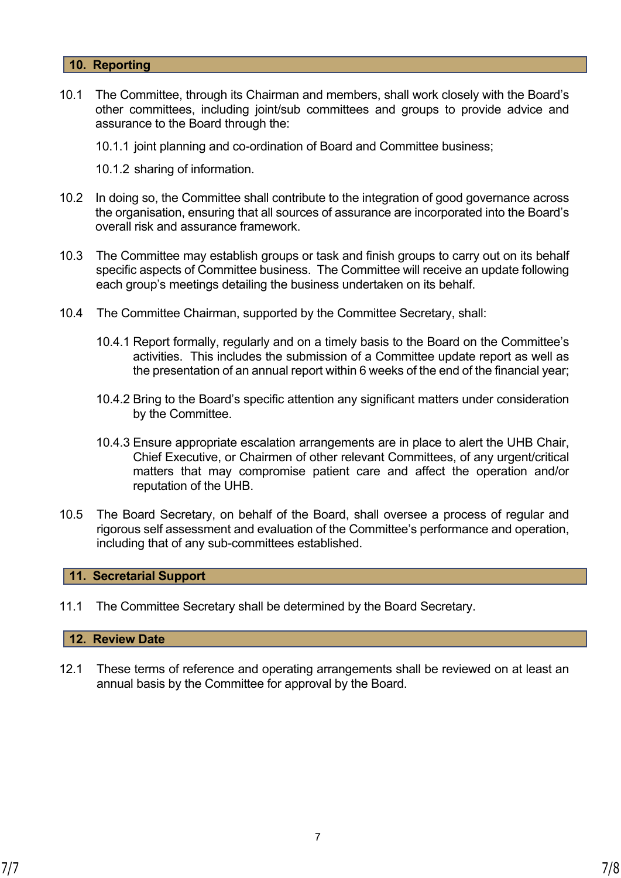### **10. Reporting**

10.1 The Committee, through its Chairman and members, shall work closely with the Board's other committees, including joint/sub committees and groups to provide advice and assurance to the Board through the:

10.1.1 joint planning and co-ordination of Board and Committee business;

10.1.2 sharing of information.

- 10.2 In doing so, the Committee shall contribute to the integration of good governance across the organisation, ensuring that all sources of assurance are incorporated into the Board's overall risk and assurance framework.
- 10.3 The Committee may establish groups or task and finish groups to carry out on its behalf specific aspects of Committee business. The Committee will receive an update following each group's meetings detailing the business undertaken on its behalf.
- 10.4 The Committee Chairman, supported by the Committee Secretary, shall:
	- 10.4.1 Report formally, regularly and on a timely basis to the Board on the Committee's activities. This includes the submission of a Committee update report as well as the presentation of an annual report within 6 weeks of the end of the financial year;
	- 10.4.2 Bring to the Board's specific attention any significant matters under consideration by the Committee.
	- 10.4.3 Ensure appropriate escalation arrangements are in place to alert the UHB Chair, Chief Executive, or Chairmen of other relevant Committees, of any urgent/critical matters that may compromise patient care and affect the operation and/or reputation of the UHB.
- 10.5 The Board Secretary, on behalf of the Board, shall oversee a process of regular and rigorous self assessment and evaluation of the Committee's performance and operation, including that of any sub-committees established.

#### **11. Secretarial Support**

11.1 The Committee Secretary shall be determined by the Board Secretary.

#### **12. Review Date**

12.1 These terms of reference and operating arrangements shall be reviewed on at least an annual basis by the Committee for approval by the Board.